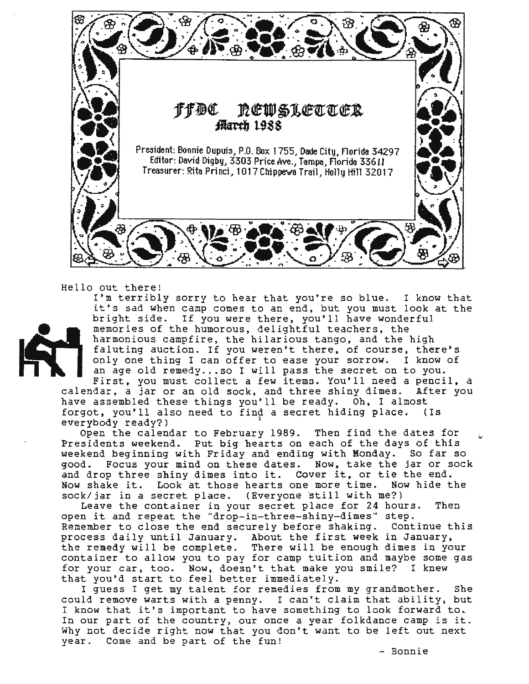

Hello out there!



I'm terribly sorry to hear that you're so blue. I know that it's sad when camp comes to an end, but you must look at the bright side. If you were there, you'll have wonderful memories of the humorous, delightful teachers, the harmonious campfire, the hilarious tango, and the high faluting auction. If you weren't there, of course, there's<br>only one thing I can offer to ease your sorrow. I know of only one thing I can offer to ease your sorrow. an age old remedy... so I will pass the secret on to you. First, you must collect a few items. You'll need a pencil, a

calendar, a jar or an old sock, and three shiny dimes. After you have assembled these things you'll be ready. Oh, I almost forgot, you'll also need to find a secret hiding place. (Is everybody ready?)

Open the calendar to February 1989. Then find the dates for Presidents weekend. Put big hearts on each of the days of this weekend beginning with Friday and ending with Monday. So far so good. Focus your mind on these dates. Now, take the jar or sock and drop three shiny dimes into it. Cover it, or tie the end.<br>Now shake it. Look at those hearts one more time. Now hide the Now shake it. Look at those hearts one more time. sock/jar in a secret place. (Everyone still with me?)

Leave the container in your secret place for 24 hours. Then open it and repeat the "drop-in-three-shiny-dimes" step.<br>Remember to close the end securely before shaking. Continue this Remember to close the end securely before shaking. process daily until January. About the first week in January, the remedy will be complete. There will be enough dimes in your container to allow you to pay for camp tuition and maybe some gas for your car, too. Now, doesn't that make you smile? I knew that you'd start to feel better immediately.

I guess I get my talent for remedies from my grandmother. She could remove warts with a penny. I can't claim that ability, but I know that it's important to have something to look forward to. In our part of the country, our once a year folkdance camp is it. Why not decide right now that you don't want to be left out next year. Come and be part of the fun!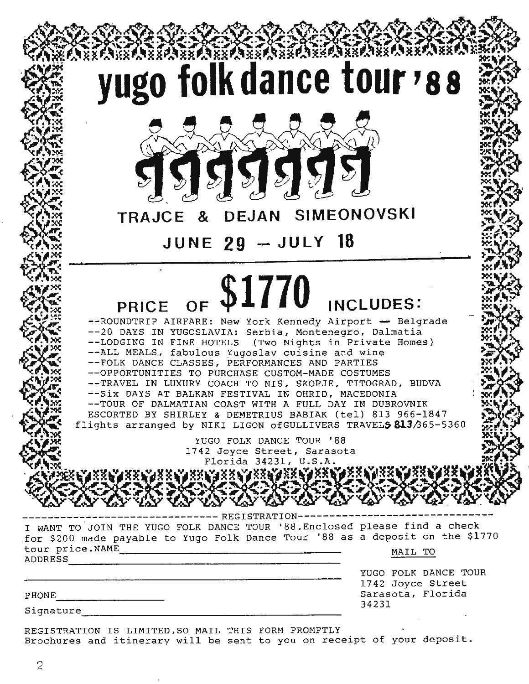

Brochures and itinerary will be sent to you on receipt of your deposit.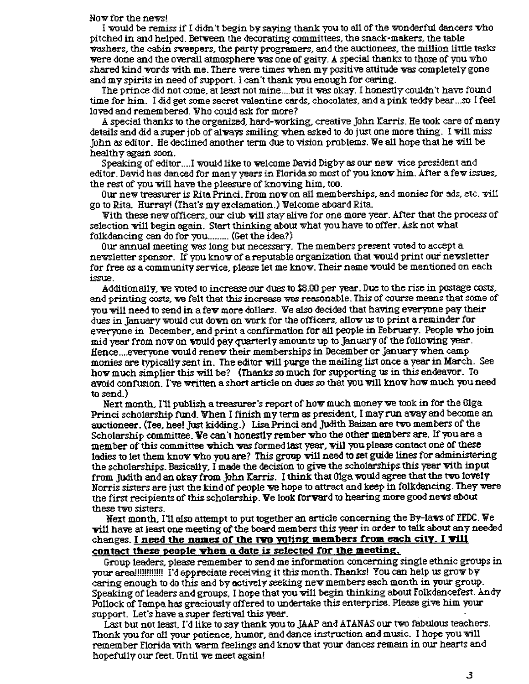#### Now for the news!

I would be remiss if I didn't begin by saying thank you to all of the wonderful dancers who pitched in and helped. Between the decorating committees, the snack-makers, the table washers, the cabin sweepers, the party programers, and the auctionees, the million little tasks were done and the overall atmosphere was one of gaity. A special thanks to those of you who shared kind words with me. There were times when my positive attitude was completely gone and my spirits in need of support. I can't thank you enough for caring.

The prince did not come, at least not mine....but it was okay. I honestly couldn't have found time for him. I did get some secret valentine cards, chocolates, and a pink teddy bear .. .so I feel loved and remembered. Who could ask for more?

A special thanks to the organized, hard-wrking, creative John Karris. He took care of many details and did a super job of aiways smiling when asked to do just one more thing. I will miss John *as* editor. He declined another term due to vision problems. We all hope that he will be healthy again soon.

Speaking of editor....I would like to welcome David Digby as our new vice president and editor. David has danced for many years in Florida so most of you knov him. After a fev *issues,*  the rest of you will have the pleasure of knowing him, too.

Our nevtreasurer is RitaPrinci. From novon a11 memberships, and monies for ads, etc. will go to Rita. Hurray! (That's my exclamation.) Welcome aboard Rita.

With these new officers, our club will stay alive for one more year. After that the process of selection will begin again. Start thinking about what you have to offer. Ask not what folkdancing can do for you.......... (Get the idea?)

Our annual meeting was long but necessary. The members present voted to accept a newsletter sponsor. If you know of a reputable organization that would print our newsletter for free as a community service, please let me know. Their name would be mentioned on each issue.

Additionally, ve wted to increase our dues to \$8.00 per year. Due to the rise in postage costs, and printing costs, ve felt that this increase was reasonable. This of course means that some of you will need to send in a few more dollars. We also decided that having everyone pay their dues in January would cut down on work for the officers, allow us to print a reminder for everyone in December, and print a confirmation for all people in February. People vho join mid year from now on would pay quarterly amounts up to January of the following year. Hence.... everyone would renew their memberships in December or January when camp monies are typically sent in. The editor will purge the mailing list once a year in March. See how much simplier this will be? (Thanks so much for supporting us in this endeavor. To avoid confusion. I've written a short article on dues so that you will know how much you need to send.)

Next month, I'll publish a tressurer's report of hov much money ve took in for the Olga Princi scholarship fund. When I finish my term as president, I may run away and become an auctioneer. (Tee, hee! Just kidding.) Lisa Princi and Judith Baizan are two members of the Scholarship committee. Ve can't honestly rember vho the other members are. If you are a member of this committee vhich was formed last year, vi.11 you please contact one of these ladies to let them know who you are? This group will need to set guide lines for administering the scholarships. Basically, I made the decision to give the scholarships this year with input from. Judith and an okay from. John Karris. I think that Olga would agree that the two lovely Norris sisters are just the kind of people we hope to attract and keep in folkdancing. They were the first recipients of this scholarship. We look forward to hearing more good news about these tvo sisters.

Next month, I'll also attempt to put together an article concerning the By-laws of FFDC. We vill have at least one meeting of the board members this year in order to talk about any needed changes. I **need the names of the nro voting members from each city.** I **Yi11**  contact these people **yhen a date is selected for the meeting**.

Group leaders, please remember to send me information concerning single ethnic groups in your area!!!!!!!!!!!! I'd appreciate receiving it this month. Thanks! You can help us growl>-y caring enough to do this and by actively seeking new members each month in your group. Speaking of leaders and groups, I hope that you will begin thinking about Folkdancefest. Andy Pollock of Tampa has graciously offered to undertake this enterprise. Please give him your support. Let's have a super festival this year.<br>Last but not least. I'd like to say thank you to JAAP and ATANAS our two fabulous teachers.

Thank you for all your patience, humor, and dance instruction and music. I hope you will remember Florida with warm feelings and know that your dances remain in our hearts and hopefully our feet. Until ve meet again!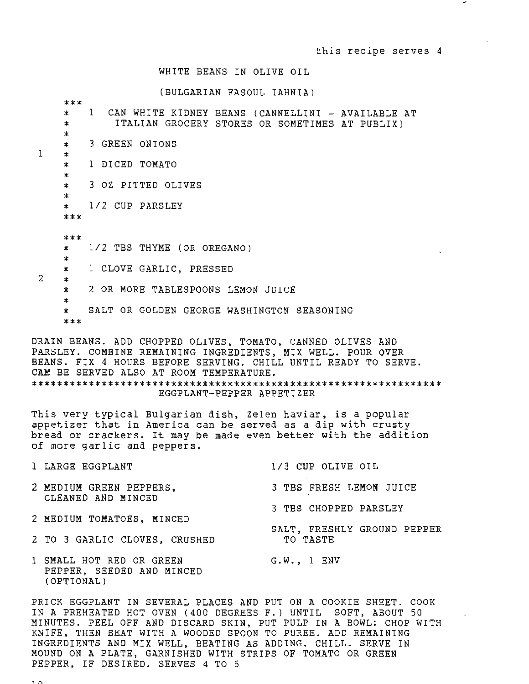#### WHITE BEANS IN OLIVE OIL

(BULGARIAN FASOUL IAHNIA)

|                | $***$   |                                                                   |  |  |  |  |  |
|----------------|---------|-------------------------------------------------------------------|--|--|--|--|--|
|                | $\star$ | $\mathbf{1}$<br>CAN WHITE KIDNEY BEANS (CANNELLINI - AVAILABLE AT |  |  |  |  |  |
|                | ∗       | ITALIAN GROCERY STORES OR SOMETIMES AT PUBLIX)                    |  |  |  |  |  |
|                | $\ast$  |                                                                   |  |  |  |  |  |
|                | $\ast$  | 3 GREEN ONIONS                                                    |  |  |  |  |  |
| $\mathbf{1}$   | $\ast$  |                                                                   |  |  |  |  |  |
|                | $\ast$  | 1 DICED TOMATO                                                    |  |  |  |  |  |
|                | $\ast$  |                                                                   |  |  |  |  |  |
|                | $\ast$  | 3 OZ PITTED OLIVES                                                |  |  |  |  |  |
|                | $\star$ |                                                                   |  |  |  |  |  |
|                | $\star$ | 1/2 CUP PARSLEY                                                   |  |  |  |  |  |
|                | $***$   |                                                                   |  |  |  |  |  |
|                |         |                                                                   |  |  |  |  |  |
|                | $****$  |                                                                   |  |  |  |  |  |
|                | $\star$ | 1/2 TBS THYME (OR OREGANO)                                        |  |  |  |  |  |
|                | $\ast$  |                                                                   |  |  |  |  |  |
|                | $\ast$  | 1 CLOVE GARLIC, PRESSED                                           |  |  |  |  |  |
| $\overline{2}$ | $\star$ |                                                                   |  |  |  |  |  |
|                | $\star$ | 2 OR MORE TABLESPOONS LEMON JUICE                                 |  |  |  |  |  |
|                | *.      |                                                                   |  |  |  |  |  |
|                | $\ast$  | SALT OR GOLDEN GEORGE WASHINGTON SEASONING                        |  |  |  |  |  |
|                | $***$   |                                                                   |  |  |  |  |  |
|                |         |                                                                   |  |  |  |  |  |

DRAIN BEANS. ADD CHOPPED OLIVES, TOMATO, CANNED OLIVES AND PARSLEY. COMBINE REMAINING INGREDIENTS, MIX WELL. POUR OVER BEANS. FIX 4 HOURS BEFORE SERVING. CHILL UNTIL READY TO SERVE. CAM BE SERVED ALSO AT ROOM TEMPERATURE. \*\*\*\*\*\*\*\*\*\*\*\*\*\*\*\*\*\*\*\*\*\*\*\*\*\*\*\*\*\*\*\*\*\*\*\*\*\*\*\*\*\*\*\*\*\*\*\*\*\*\*\*\*\*\*\*\*\*\*\*\*\*\*\*\* EGGPLANT-PEPPER APPETIZER

This very typical Bulgarian dish, Zelen haviar, is a popular appetizer that in America can be served as a dip with crusty bread or crackers. It may be made even better with the addition of more garlic and peppers.

| 1 LARGE EGGPLANT                                                    | 1/3 CUP OLIVE OIL                       |  |
|---------------------------------------------------------------------|-----------------------------------------|--|
| 2 MEDIUM GREEN PEPPERS,<br>CLEANED AND MINCED                       | 3 TBS FRESH LEMON JUICE                 |  |
|                                                                     | 3 TBS CHOPPED PARSLEY                   |  |
| 2 MEDIUM TOMATOES, MINCED                                           |                                         |  |
| 2 TO 3 GARLIC CLOVES, CRUSHED                                       | SALT, FRESHLY GROUND PEPPER<br>TO TASTE |  |
| 1 SMALL HOT RED OR GREEN<br>PEPPER, SEEDED AND MINCED<br>(OPTIONAL) | G.W., 1 ENV                             |  |

PRICK EGGPLANT IN SEVERAL PLACES AND PUT ON A COOKIE SHEET. COOK IN A PREHEATED HOT OVEN (400 DEGREES F.) UNTIL SOFT, ABOUT 50 MINUTES. PEEL OFF AND DISCARD SKIN, PUT PULP IN A BOWL: CHOP WITH KNIFE, THEN BEAT WITH A WOODED SPOON TO PUREE. ADD REMAINING INGREDIENTS AND MIX WELL, BEATING AS ADDING. CHILL. SERVE IN MOUND ON A PLATE, GARNISHED WITH STRIPS OF TOMATO OR GREEN PEPPER, IF DESIRED. SERVES 4 TO 6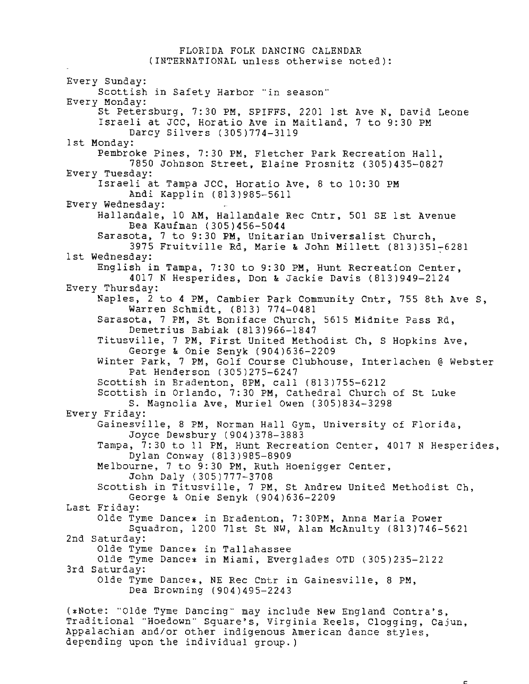## FLORIDA FOLK DANCING CALENDAR (INTERNATIONAL unless otherwise noted):

Every Sunday: Scottish in Safety Harbor "in season" Every Monday: St Petersburg, 7:30 PM, SPIFFS, 2201 1st Ave N, David Leone Israeli at JCC, Horatio Ave in Maitland, 7 to 9:30 PM Darcy Silvers (305)774-3119 1st Monday: Pembroke Pines, 7:30 PM, Fletcher Park Recreation Hall, 7850 Johnson Street, Elaine Prosnitz (305)435-0827 Every Tuesday: Israeli at Tampa JCC, Horatio Ave, 8 to 10:30 PM Andi Kapplin (813)985-5611 Every Wednesday: Hallandale, 10 AM, Hallandale Rec Cntr, 501 SE 1st Avenue Bea Kaufman (305)456-5044 Sarasota, 7 to 9:30 **PM,** Unitarian Universalist Church, 3975 Fruitville Rd, Marie & John Millett (813)351-6281 1st Wednesday: *interesting matrice worm millete (013)331*<sup>2</sup> English in Tampa, 7:30 to 9:30 PM, Hunt Recreation Center, 4017 N Hesperides, Don & Jackie Davis (813)949-2124 Every Thursday: Naples, 2 to 4 PM, Cambier Park Community Cntr, 755 8th Ave S, Warren Schmidt, (813) 774-0481 Sarasota, 7 PM, St Boniface Church, 5615 Midnite Pass Rd, Demetrius Babiak (813)966-1847 Titusville, 7 PM, First United Methodist Ch, S Hopkins Ave, George & Onie Senyk (904)636-2209 Winter Park, 7 PM, Golf Course Clubhouse, Interlachen @ Webster Pat Henderson ( 305)275-6247 Scottish in Bradenton, 8PM, call (813)755-6212 Scottish in Orlando, 7:30 **PM,** Cathedral Church of St Luke S. Magnolia Ave, Muriel Owen (305)834-3298 Every Friday: Gainesville, 8 **PM,** Norman Hall Gym, University of Florida, Joyce Dewsbury (904)378-3883 Tampa, 7:30 to 11 PM, Hunt Recreation Center, 4017 N Hesperides, Dylan Conway ( 813 ) 985-8909 Melbourne, 7 to 9:30 **PM,** Ruth Hoenigger Center, John Daly ( 305 ) 777-3708 Scottish in Titusville, 7 PM, St Andrew United Methodist Ch, George & Onie Senyk (904)636-2209 Last Friday: Olde Tyme Dance\* in Bradenton, 7:30PM, Anna Maria Power Squadron, 1200 71st St NW, Alan McAnulty ( 813 ) 746-5621 2nd Saturday: Olde Tyme Dance\* in Tallahassee Olde Tyme Dance\* in Miami, Everglades OTD (305)235-2122 3rd Saturday: Olde Tyme Dance\*, NE Rec Cntr in Gainesville, 8 PM, Dea Browning (904 ) 495-2243 (\*Note: "Olde Tyme Dancing" may include New England contra's, Traditional "Hoedown" Square's, Virginia Reels, Clogging, Cajun,

Appalachian and/or other indigenous American dance styles,

depending upon the individual group.)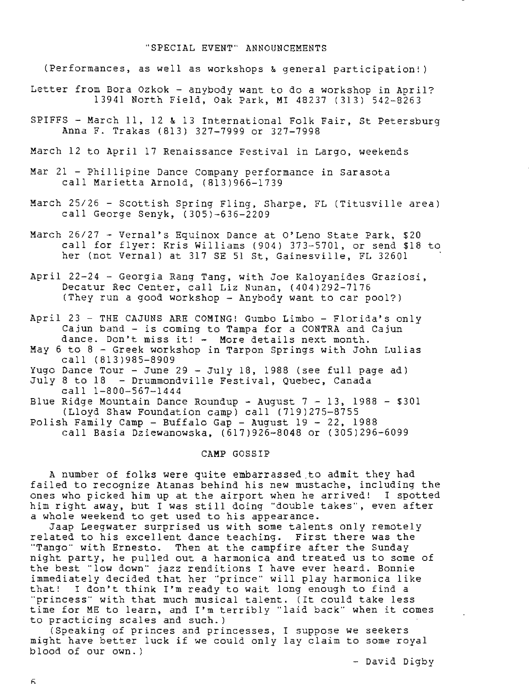#### "SPECIAL EVENT" ANNOUNCEMENTS

(Performances, as well as workshops & general participation!)

- Letter from Bora Ozkok anybody want to do a workshop in April? 13941 North Field, Oak Park, MI 48237 (313) 542-8263
- SPIFFS March 11, 12 & 13 International Folk Fair, St Petersburg Anna F. Trakas (813) 327-7999 or 327-7998
- March 12 to April 17 Renaissance Festival in Largo, weekends
- Mar 21 Phillipine Dance Company performance in Sarasota call Marietta Arnold, ( 813)966-1739
- March 25/26 Scottish Spring Fling, Sharpe, FL (Titusville area) call George Senyk, (305)-636-2209
- March 26/27 Vernal's Equinox Dance at O'Leno State Park, \$20 call for flyer: Kris Williams (904) 373-5701, or send \$18 to her (not Vernal) at 317 SE 51 St, Gainesville, FL 32601
- April 22-24 Georgia Rang Tang, with Joe Kaloyanides Graziosi, Decatur Rec Center, call Liz Nunan, (404)292-7176 (They run a good workshop - Anybody want to car pool?)

April 23 - THE CAJUNS ARE COMING! Gumbo Limbo - Florida's only Cajun band - is coming to Tampa for a CONTRA and Cajun dance. Don't miss it! - More details next month.

May 6 to 8 - Greek workshop in Tarpon Springs with John Lulias call (813)985-8909

Yugo Dance Tour - June 29 - July 18, 1988 (see full page ad) July 8 to 18 - Drummondville Festival, Quebec, Canada

call 1-800-567-1444 Blue Ridge Mountain Dance Roundup - August 7 - 13, 1988 - \$301 (Lloyd Shaw Foundation camp) call (719)275-8755 Polish Family Camp - Buffalo Gap - August 19 - 22, 1988 call Basia Dziewanowska, (617)926-8048 or (305)296-6099

**CAMP** GOSSIP

A number of folks were quite embarrassed.to admit they had failed to recognize Atanas behind his new mustache, including the ones who picked him up at the airport when he arrived! I spotted him right away, but I was still doing "double takes", even after a whole weekend to get used to his appearance.

Jaap Leegwater surprised us with some talents only remotely related to his excellent dance teaching. First there was the "Tango" with Ernesto. Then at the campfire after the Sunday night party, he pulled out a harmonica and treated us to some of the best "low down" jazz renditions I have ever heard. Bonnie immediately decided that her "prince" will play harmonica like that! I don't think I'm ready to wait long enough to find a "princess" with that much musical talent. ( It could take less time for **ME** to learn, and I'm terribly "laid back" when it comes to practicing scales and such.)

(Speaking of princes and princesses, I suppose we seekers might have better luck if we could only lay claim to some royal blood of our own. )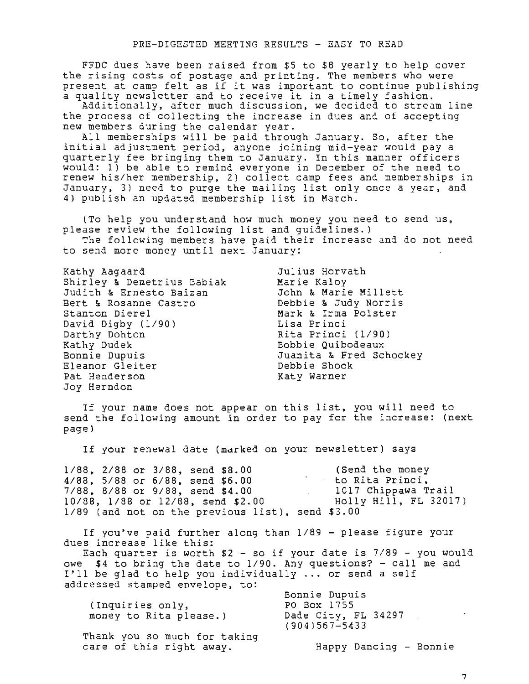FFDC dues have been raised from \$5 to \$8 yearly to help cover the rising costs of postage and printing. The members who were present at camp felt as if it was important to continue publishing present at camp feit as if it was important to continue public services in a timely fashion.

Additionally. after much discussion, we decided to stream line the process of collecting the increase in dues and of accepting new members during the calendar year.

All memberships will be paid through January. So, after the initial adjustment period, anyone joining mid-year would pay a quarterly fee bringing them to January. In this manner officers would: 1) be able to remind everyone in December of the need to renew his/her membership, 2) collect camp fees and memberships in January. 3) need to purge the mailing list only once a year. and 4) publish an updated membership list in March.

(To help you understand how much money you need to send us. please review the following list and guidelines.)

The following members have paid their increase and do not need to send more money until next January:

If your name does not appear on this list, you will need to send the following amount in order to pay for the increase: (next page)

If your renewal date (marked on your newsletter) says

1/88. 2/88 or 3/88, send \$8.00 (Send the money 1/88, 5/88 or 5/88, send \$6.00 to Rita Princi, 7/88, 8/88 or 9/88, send \$4.00 10/88, 1/88 or 12/88, send \$2.00 1/89 (and not on the previous list), send \$3.00 1017 Chippawa Trail Holly Hill, FL 32017)

If you've paid further along than 1/89 - please figure your dues increase like this:

Each quarter is worth  $$2 - so if your date is 7/89 - you would$ owe \$4 to bring the date to 1/90. Any questions? - call me and I'll be glad to help you individually ... or send a self addressed stamped envelope, to:

| (Inquiries only,<br>money to Rita please.)               | Bonnie Dupuis<br>PO Box 1755<br>Dade City, FL 34297<br>$(904)567 - 5433$ |
|----------------------------------------------------------|--------------------------------------------------------------------------|
| Thank you so much for taking<br>care of this right away. | Happy Dancing - Bonnie                                                   |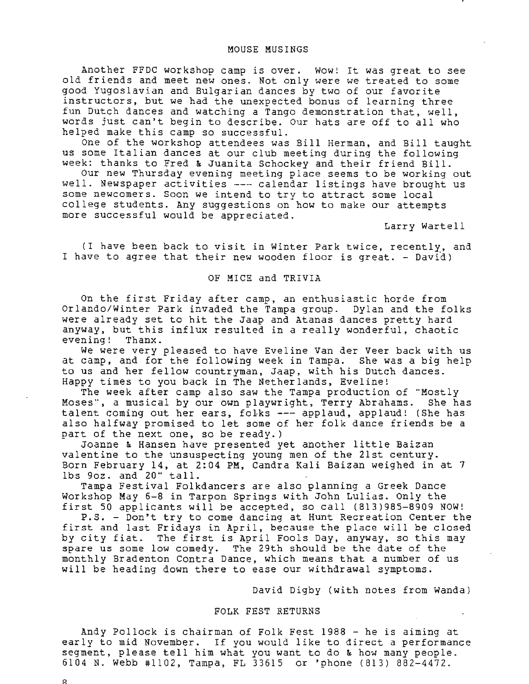## MOUSE MUSINGS

Another FFDC workshop camp is over. wow! It was great to see old friends and meet new ones. Not only were we treated to some good Yugoslavian and Bulgarian dances by two of our favorite instructors, but we had the unexpected bonus of learning three fun Dutch dances and watching a Tango demonstration that, well, words just can't begin to describe. Our hats are off to all who helped make this camp so successful.

One of the workshop attendees was Bill Herman, and Bill taught us some Italian dances at our club meeting during the following week: thanks to Fred & Juanita Schockey and their friend Bill.

Our new Thursday evening meeting place seems to be working out well. Newspaper activities --- calendar listings have brought us some newcomers. Soon we intend to try to attract some local college students. Any suggestions on~how to make our attempts more successful would be appreciated.

Larry Wartell

(I have been back to visit in Winter Park twice. recently. and I have to agree that their new wooden floor is great. - David)

# OF MICE and TRIVIA

On the first Friday after camp, an enthusiastic horde from Orlando/Winter Park invaded the Tampa group. Dylan and the folks were already set to hit the Jaap and Atanas dances pretty hard anyway, but this influx resulted in a really wonderful, chaotic evening! Thanx.

We were very pleased to have Eveline Van der Veer back with us at camp, and for the following week in Tampa. She was a big help to us and her fellow countryman. Jaap, with his Dutch dances. Happy times to you back in The Netherlands, Eveline!

The week after camp also saw the Tampa production of "Mostly Moses", a musical by our own playwright, Terry Abrahams. She has talent coming out her ears, folks --- applaud, applaud! (She has also halfway promised to let some of her folk dance friends be a part of the next one, so be ready.)

Joanne & Hansen have presented yet another little Baizan valentine to the unsuspecting young men of the 21st century. Born February 14, at 2:04 PM, Candra Kali Baizan weighed in at 7 lbs 9oz. and 20" tall.

Tampa Festival Folkdancers are also planning a Greek Dance Workshop May 6-8 in Tarpon Springs with John Lulias. Only the first 50 applicants will be accepted, so call (813)985-8909 NOW!

P.S. - Don't try to come dancing at Hunt Recreation Center the first and last Fridays in April, because the place will be closed by city fiat. The first is April Fools Day. anyway. so this may spare us some low comedy. The 29th should be the date of the monthly Bradenton Contra Dance, which means that a number of us will be heading down there to ease our withdrawal symptoms.

David Digby (with notes from Wanda )

### FOLK FEST RETURNS

Andy Pollock is chairman of Folk Fest 1988 - he is aiming at early to mid November. If you would like to direct a performance segment, please tell him what you want to do & how many people. 6104 N. Webb #1102, Tampa. FL 33615 or 'phone (813) 882-4472.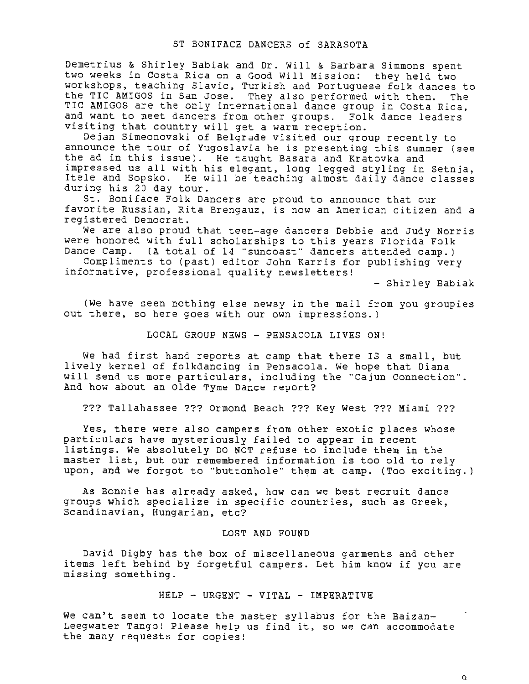Demetrius & Shirley Babiak and Dr. Will & Barbara Simmons spent two weeks in Costa Rica on a Good Will Mission: they held two workshops, teaching Slavic, Turkish and Portuguese folk dances to the TIC AMIGOS in San Jose. They also performed with them. The TIC AMIGOS are the only international dance group in Costa Rica. and want to meet dancers from other groups. Folk dance leaders visiting that country will get a warm reception.

Dejan Simeonovski of Belgrade visited our group recently to announce the tour of Yugoslavia he is presenting this summer (see the ad in this issue). He taught Basara and Kratovka and impressed us all with his elegant, long legged styling in Setnja, Itele and Sopsko. He will be teaching almost daily dance classes during his 20 day tour.

St. Boniface Folk Dancers are proud to announce that our favorite Russian, Rita Brengauz, is now an American citizen and a registered Democrat.

We are also proud that teen-age dancers Debbie and Judy Norris were honored with full scholarships to this years Florida Folk<br>Dance Camp. (A total of 14 "suncoast" dancers attended camp.) (A total of 14 "suncoast" dancers attended camp.)

Compliments to (past) editor John Karris for publishing very informative, professional quality newsletters!

- Shirley Babiak

(We have seen nothing else newsy in the mail from you groupies out there, so here goes with our own impressions.)

LOCAL GROUP NEWS - PENSACOLA LIVES ON!

We had first hand reports at camp that there IS a small, but lively kernel of folkdancing in Pensacola. We hope that Diana will send us more particulars, including the "Cajun Connection". And how about an Olde Tyme Dance report?

??? Tallahassee??? Ormond Beach??? Key West??? Miami???

Yes, there were also campers from other exotic places whose particulars have mysteriously failed to appear in recent listings. We absolutely DO NOT refuse to include them in the master list, but our remembered information is too old to rely upon, and we forgot to "buttonhole" them at camp. (Too exciting.)

As Bonnie has already asked, how can we best recruit dance groups which specialize in specific countries, such as Greek, Scandinavian, Hungarian, etc?

# LOST AND FOUND

David Digby has the box of miscellaneous garments and other items left behind by forgetful campers. Let him know if you are missing something.

HELP - URGENT - VITAL - IMPERATIVE

We can't seem to locate the master syllabus for the Baizan-Leegwater Tango! Please help us find it, so we can accommodate the many requests for copies!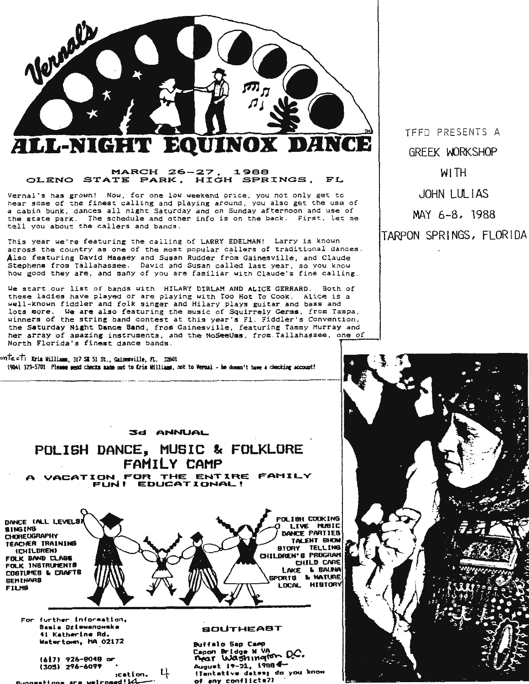

# **MARCH 26-27. 1988 OLENO STATE PARK. HIGH SPRINGS,** FL

Vernal's has grown! Now, for one low weekend price, you not only get to hear some of the finest calling and playing around, you also get the use of a cabin bunk, dances all night Saturday and on Sunday afternoon and use of a cabin bunk, dances all highe sacdreay and on senday are moon and ese or the state park. The schedule and other info is on the back. First, let me tell you about the callers and bands .

This year we're featuring the cailing of LARRY EDELMAN! Larry is known across the country as one of the most popular callers of traditional dances. Also featuring David **Massey** and Susan Rudder from Gainesville, and Claude **Stephens** from Tallahassee. David and Susan called last year , so you knew how good they are, and many of you are familiar with Claude's fine calling.

We start our list of bands with HILARY DIRLAM AND ALICE GERRARO. Both of these ladies have played or are playing with Too Hot To Cook. Alice is a well-known fiddler and folk singer and Hilary plays guitar and bass and lots more. We are also featuring the music of Squirrely **Germs,** from Tampa, winners of the string band contest at this year's Fl. Fiddler's Convention, the Saturday Night Dance Band, from Gainesville, featuring Tammy Murray and her array of amazing instruments, and the NoSeeUms, from . Tallahassee, one of North Florida's finest dance bands .

<sup>0</sup>Y'lt«.ct, lria llilli.111, 317 **SI** 51 st., **GiiDS¥ille,** n. . .32601 (904) 373-5701 **Please send checks made out to Cris Williams**, not to Verual - he doesn't have a checking account!

TFFD PRESENTS A **GREEK WORKSHOP** WITH JOHN LULIAS MAY 6-8, 1988 TARPON SPRINGS, FLORIDA



# POLISH DANCE, MUSIC & FOLKLORE FAMILY CAMP

**A VACATION FDA** THE ENTIRE **FAMXLV FUNI EDUCATIONAL!** 

DANCE (ALL LEVELB) **BINGING** CHOREOGRAPHY **TEACHER TRAINING**  (CHILDREN) **FOLK BAND CLAB®** FOLK INBTRUNENTO C081UHE8 lo CRAFT& **8ENINAA8 FILNB** 



For furth•r lnfor~atlon, B••l• OzleManoM ka 41 **l<atherin• Rd. Watw-t°""• HA** 02l72

t6l7J **,26-8048 or**c:sosl 2'6-60H **,cation.**  Buoo• tton• are -1co•ed!~- <sup>4</sup>

#### **BOUTHEAST**

Bu ff • 1 **o 6ap Caap**  Capon Bridge W va<br>Mear Washington O.C Au9uet 1,-21, **19984-** (Tentative dates; do you know of any conflicta7)

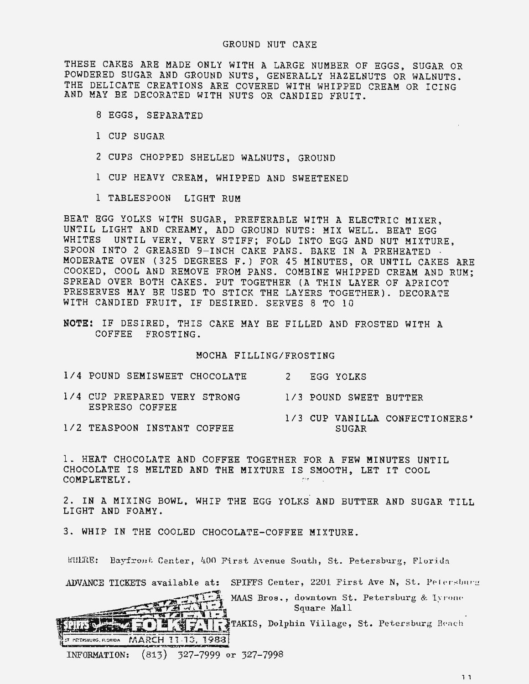THESE CAKES ARE MADE ONLY WITH A LARGE NUMBER OF EGGS. SUGAR OR POWDERED SUGAR AND GROUND NUTS, GENERALLY HAZELNUTS OR WALNUTS. THE DELICATE CREATIONS ARE COVERED WITH WHIPPED CREAM OR ICING AND MAY BE DECORATED WITH NUTS OR CANDIED FRUIT.

- 8 EGGS, SEPARATED
- 1 CUP SUGAR
- 2 CUPS CHOPPED SHELLED WALNUTS, GROUND
- 1 CUP HEAVY CREAM, WHIPPED AND SWEETENED
- 1 TABLESPOON LIGHT RUM

BEAT EGG YOLKS WITH SUGAR, PREFERABLE WITH A ELECTRIC MIXER, UNTIL LIGHT AND CREAMY, ADD GROUND NUTS: MIX WELL. BEAT EGG WHITES UNTIL VERY, VERY STIFF; FOLD INTO EGG AND NUT MIXTURE, SPOON INTO 2 GREASED 9-INCH CAKE PANS. BAKE IN A PREHEATED · MODERATE OVEN (325 DEGREES F.) FOR 45 MINUTES, OR UNTIL CAKES ARE COOKED, COOL AND REMOVE FROM PANS. COMBINE WHIPPED CREAM AND RUM; SPREAD OVER BOTH CAKES. PUT TOGETHER (A THIN LAYER OF APRICOT PRESERVES MAY BE USED TO STICK THE LAYERS TOGETHER). DECORATE WITH CANDIED FRUIT, IF DESIRED. SERVES 8 TO 10

**NOTE:** IF DESIRED, THIS CAKE MAY BE FILLED AND FROSTED WITH A COFFEE FROSTING.

MOCHA FILLING/FROSTING

| 1/4 POUND SEMISWEET CHOCOLATE                  | 2 EGG YOLKS                             |
|------------------------------------------------|-----------------------------------------|
| 1/4 CUP PREPARED VERY STRONG<br>ESPRESO COFFEE | 1/3 POUND SWEET BUTTER                  |
| 1/2 TEASPOON INSTANT COFFEE                    | 1/3 CUP VANILLA CONFECTIONERS'<br>SUGAR |

1. HEAT CHOCOLATE AND COFFEE TOGETHER FOR A FEW MINUTES UNTIL CHOCOLATE IS MELTED AND THE MIXTURE IS SMOOTH, LET IT COOL COMPLETELY.

2. IN A MIXING BOWL, WHIP THE EGG YOLKS AND BUTTER AND SUGAR TILL LIGHT AND FOAMY .

3. WHIP IN THE COOLED CHOCOLATE-COFFEE MIXTURE.

WHERE: Bayfrout Center, 400 First Avenue South, St. Petersburg, Florida



ADVANCE TICKETS available at: SPIFFS Center, 2201 First Ave N, St. Petersburg<br>MAAS Bros., downtown St. Petersburg & Tyrone<br>Square Mall<br>SPIFS AND TO LATERTY TAKIS, Dolphin Village, St. Petersburg Beach  $\sigma$  pereksburg. florida MARCH 11-13, 1988.

INFORMATION: (813) 327-7999 or 327-7998